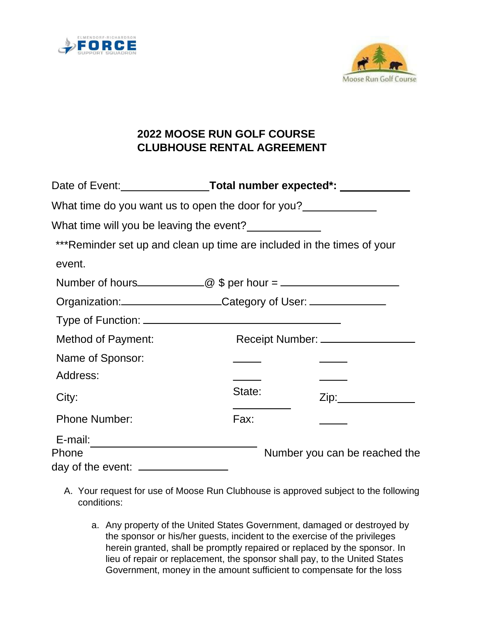



## **2022 MOOSE RUN GOLF COURSE CLUBHOUSE RENTAL AGREEMENT**

| What time do you want us to open the door for you?                                   |        |                               |
|--------------------------------------------------------------------------------------|--------|-------------------------------|
| What time will you be leaving the event?                                             |        |                               |
| ***Reminder set up and clean up time are included in the times of your               |        |                               |
| event.                                                                               |        |                               |
| Number of hours______________@ $\oint$ per hour = __________________________________ |        |                               |
|                                                                                      |        |                               |
|                                                                                      |        |                               |
| <b>Method of Payment:</b>                                                            |        |                               |
| Name of Sponsor:                                                                     |        |                               |
| Address:                                                                             |        |                               |
| City:                                                                                | State: | Zip: 2000                     |
| <b>Phone Number:</b>                                                                 | Fax:   |                               |
| E-mail:                                                                              |        |                               |
| Phone<br>day of the event: __________________                                        |        | Number you can be reached the |

- A. Your request for use of Moose Run Clubhouse is approved subject to the following conditions:
	- a. Any property of the United States Government, damaged or destroyed by the sponsor or his/her guests, incident to the exercise of the privileges herein granted, shall be promptly repaired or replaced by the sponsor. In lieu of repair or replacement, the sponsor shall pay, to the United States Government, money in the amount sufficient to compensate for the loss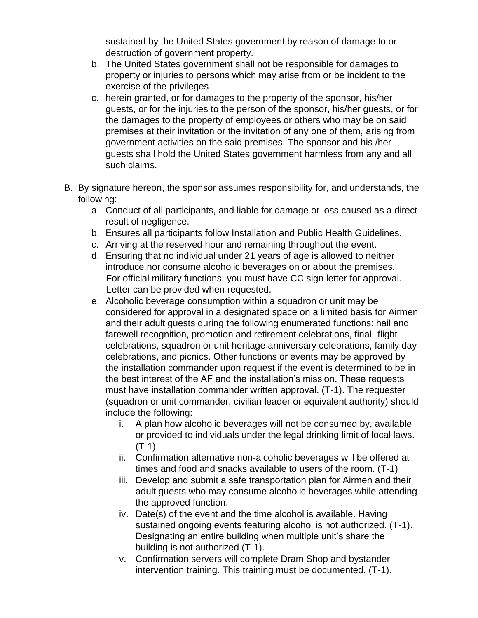sustained by the United States government by reason of damage to or destruction of government property.

- b. The United States government shall not be responsible for damages to property or injuries to persons which may arise from or be incident to the exercise of the privileges
- c. herein granted, or for damages to the property of the sponsor, his/her guests, or for the injuries to the person of the sponsor, his/her guests, or for the damages to the property of employees or others who may be on said premises at their invitation or the invitation of any one of them, arising from government activities on the said premises. The sponsor and his /her guests shall hold the United States government harmless from any and all such claims.
- B. By signature hereon, the sponsor assumes responsibility for, and understands, the following:
	- a. Conduct of all participants, and liable for damage or loss caused as a direct result of negligence.
	- b. Ensures all participants follow Installation and Public Health Guidelines.
	- c. Arriving at the reserved hour and remaining throughout the event.
	- d. Ensuring that no individual under 21 years of age is allowed to neither introduce nor consume alcoholic beverages on or about the premises. For official military functions, you must have CC sign letter for approval. Letter can be provided when requested.
	- e. Alcoholic beverage consumption within a squadron or unit may be considered for approval in a designated space on a limited basis for Airmen and their adult guests during the following enumerated functions: hail and farewell recognition, promotion and retirement celebrations, final- flight celebrations, squadron or unit heritage anniversary celebrations, family day celebrations, and picnics. Other functions or events may be approved by the installation commander upon request if the event is determined to be in the best interest of the AF and the installation's mission. These requests must have installation commander written approval. (T-1). The requester (squadron or unit commander, civilian leader or equivalent authority) should include the following:
		- i. A plan how alcoholic beverages will not be consumed by, available or provided to individuals under the legal drinking limit of local laws. (T-1)
		- ii. Confirmation alternative non-alcoholic beverages will be offered at times and food and snacks available to users of the room. (T-1)
		- iii. Develop and submit a safe transportation plan for Airmen and their adult guests who may consume alcoholic beverages while attending the approved function.
		- iv. Date(s) of the event and the time alcohol is available. Having sustained ongoing events featuring alcohol is not authorized. (T-1). Designating an entire building when multiple unit's share the building is not authorized (T-1).
		- v. Confirmation servers will complete Dram Shop and bystander intervention training. This training must be documented. (T-1).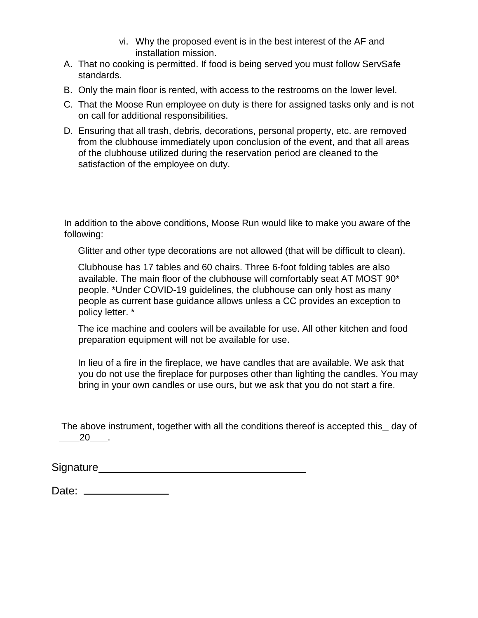- vi. Why the proposed event is in the best interest of the AF and installation mission.
- A. That no cooking is permitted. If food is being served you must follow ServSafe standards.
- B. Only the main floor is rented, with access to the restrooms on the lower level.
- C. That the Moose Run employee on duty is there for assigned tasks only and is not on call for additional responsibilities.
- D. Ensuring that all trash, debris, decorations, personal property, etc. are removed from the clubhouse immediately upon conclusion of the event, and that all areas of the clubhouse utilized during the reservation period are cleaned to the satisfaction of the employee on duty.

In addition to the above conditions, Moose Run would like to make you aware of the following:

Glitter and other type decorations are not allowed (that will be difficult to clean).

Clubhouse has 17 tables and 60 chairs. Three 6-foot folding tables are also available. The main floor of the clubhouse will comfortably seat AT MOST 90\* people. \*Under COVID-19 guidelines, the clubhouse can only host as many people as current base guidance allows unless a CC provides an exception to policy letter. \*

The ice machine and coolers will be available for use. All other kitchen and food preparation equipment will not be available for use.

In lieu of a fire in the fireplace, we have candles that are available. We ask that you do not use the fireplace for purposes other than lighting the candles. You may bring in your own candles or use ours, but we ask that you do not start a fire.

The above instrument, together with all the conditions thereof is accepted this day of 20 .

| Signature |  |
|-----------|--|
|           |  |